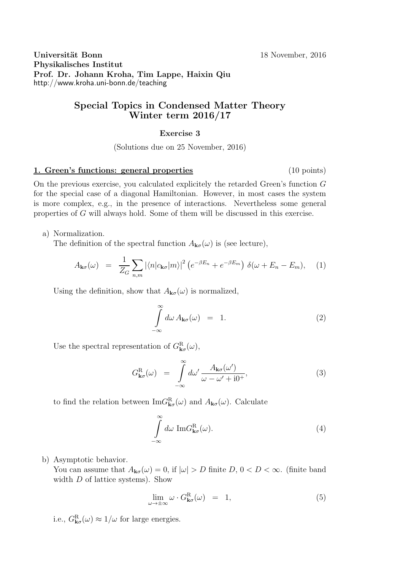Universität Bonn 18 November, 2016 Physikalisches Institut Prof. Dr. Johann Kroha, Tim Lappe, Haixin Qiu http://www.kroha.uni-bonn.de/teaching

# Special Topics in Condensed Matter Theory Winter term 2016/17

## Exercise 3

(Solutions due on 25 November, 2016)

### 1. Green's functions: general properties (10 points)

On the previous exercise, you calculated explicitely the retarded Green's function G for the special case of a diagonal Hamiltonian. However, in most cases the system is more complex, e.g., in the presence of interactions. Nevertheless some general properties of G will always hold. Some of them will be discussed in this exercise.

#### a) Normalization.

The definition of the spectral function  $A_{\mathbf{k}\sigma}(\omega)$  is (see lecture),

$$
A_{\mathbf{k}\sigma}(\omega) = \frac{1}{Z_G} \sum_{n,m} |\langle n|c_{\mathbf{k}\sigma}|m\rangle|^2 \left( e^{-\beta E_n} + e^{-\beta E_m} \right) \delta(\omega + E_n - E_m), \quad (1)
$$

Using the definition, show that  $A_{\mathbf{k}\sigma}(\omega)$  is normalized,

$$
\int_{-\infty}^{\infty} d\omega A_{\mathbf{k}\sigma}(\omega) = 1.
$$
 (2)

Use the spectral representation of  $G_{\mathbf{k}\sigma}^{\rm R}(\omega)$ ,

$$
G_{\mathbf{k}\sigma}^{\mathrm{R}}(\omega) = \int_{-\infty}^{\infty} d\omega' \frac{A_{\mathbf{k}\sigma}(\omega')}{\omega - \omega' + i0^{+}},
$$
\n(3)

to find the relation between  $\text{Im}G_{\mathbf{k}\sigma}^{\text{R}}(\omega)$  and  $A_{\mathbf{k}\sigma}(\omega)$ . Calculate

$$
\int_{-\infty}^{\infty} d\omega \operatorname{Im} G_{\mathbf{k}\sigma}^{\mathbf{R}}(\omega).
$$
 (4)

#### b) Asymptotic behavior.

You can assume that  $A_{\mathbf{k}\sigma}(\omega) = 0$ , if  $|\omega| > D$  finite  $D, 0 < D < \infty$ . (finite band width D of lattice systems). Show

$$
\lim_{\omega \to \pm \infty} \omega \cdot G_{\mathbf{k}\sigma}^{R}(\omega) = 1, \tag{5}
$$

i.e.,  $G_{\mathbf{k}\sigma}^{\mathrm{R}}(\omega) \approx 1/\omega$  for large energies.